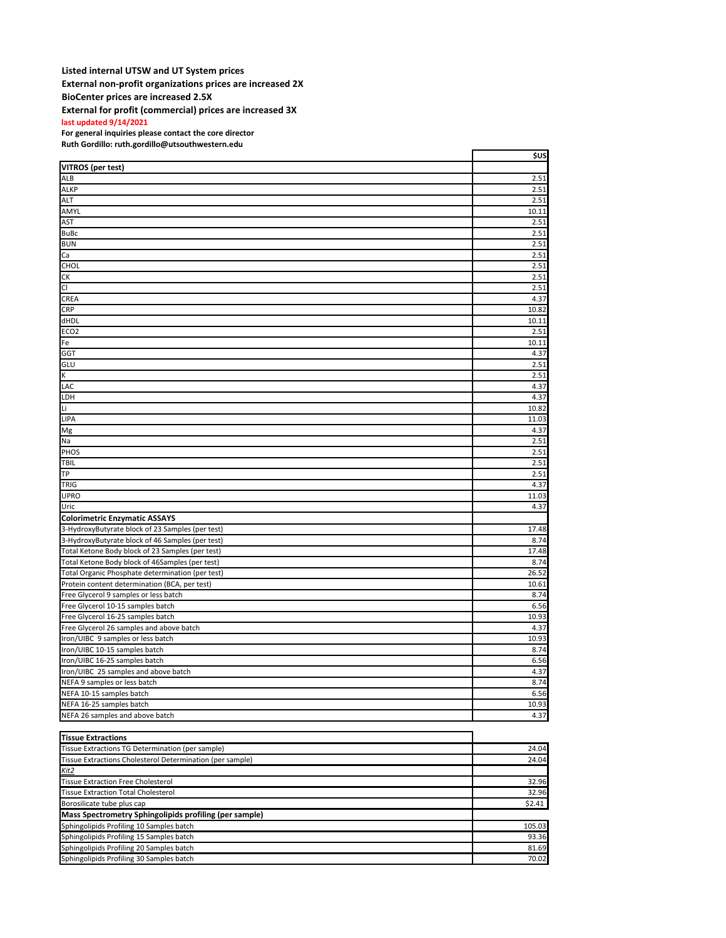## **Listed internal UTSW and UT System prices External non-profit organizations prices are increased 2X BioCenter prices are increased 2.5X External for profit (commercial) prices are increased 3X last updated 9/14/2021 For general inquiries please contact the core director**

**Ruth Gordillo: ruth.gordillo@utsouthwestern.edu**

|                                                  | <u>\$US</u> |
|--------------------------------------------------|-------------|
| <b>VITROS</b> (per test)                         |             |
| <b>ALB</b>                                       | 2.51        |
| <b>ALKP</b>                                      | 2.51        |
| <b>ALT</b>                                       | 2.51        |
| <b>AMYL</b>                                      | 10.11       |
| <b>AST</b>                                       | 2.51        |
| <b>BuBc</b>                                      | 2.51        |
| <b>BUN</b>                                       | 2.51        |
| Ca                                               | 2.51        |
| CHOL                                             | 2.51        |
| CK                                               | 2.51        |
| $\overline{c}$                                   | 2.51        |
| <b>CREA</b>                                      | 4.37        |
| <b>CRP</b>                                       | 10.82       |
| dHDL                                             | 10.11       |
| ECO <sub>2</sub>                                 | 2.51        |
| Fe                                               | 10.11       |
| <b>GGT</b>                                       | 4.37        |
| GLU                                              | 2.51        |
| $\overline{\mathsf{K}}$                          | 2.51        |
| <b>LAC</b>                                       | 4.37        |
| LDH                                              | 4.37        |
| Li                                               | 10.82       |
| <b>LIPA</b>                                      | 11.03       |
| Mg                                               | 4.37        |
| Na                                               | 2.51        |
| PHOS                                             | 2.51        |
| <b>TBIL</b>                                      | 2.51        |
| $\frac{TP}{TP}$                                  | 2.51        |
| <b>TRIG</b>                                      | 4.37        |
| <b>UPRO</b>                                      | 11.03       |
| Uric                                             | 4.37        |
| <b>Colorimetric Enzymatic ASSAYS</b>             |             |
| 3-HydroxyButyrate block of 23 Samples (per test) | 17.48       |
| 3-HydroxyButyrate block of 46 Samples (per test) | 8.74        |
| Total Ketone Body block of 23 Samples (per test) | 17.48       |
| Total Ketone Body block of 46Samples (per test)  | 8.74        |
| Total Organic Phosphate determination (per test) | 26.52       |
| Protein content determination (BCA, per test)    | 10.61       |
| Free Glycerol 9 samples or less batch            | 8.74        |
| Free Glycerol 10-15 samples batch                | 6.56        |
| Free Glycerol 16-25 samples batch                | 10.93       |
| Free Glycerol 26 samples and above batch         | 4.37        |
| Iron/UIBC 9 samples or less batch                | 10.93       |
| Iron/UIBC 10-15 samples batch                    | 8.74        |
| Iron/UIBC 16-25 samples batch                    | 6.56        |
| Iron/UIBC 25 samples and above batch             | 4.37        |
| NEFA 9 samples or less batch                     | 8.74        |
| NEFA 10-15 samples batch                         | 6.56        |
| NEFA 16-25 samples batch                         | 10.93       |
| NEFA 26 samples and above batch                  | 4.37        |

 $\blacksquare$ 

٦

| <b>Tissue Extractions</b>                                     |        |
|---------------------------------------------------------------|--------|
| Tissue Extractions TG Determination (per sample)              | 24.04  |
| Tissue Extractions Cholesterol Determination (per sample)     | 24.04  |
| Kit2                                                          |        |
| <b>Tissue Extraction Free Cholesterol</b>                     | 32.96  |
| <b>Tissue Extraction Total Cholesterol</b>                    | 32.96  |
| Borosilicate tube plus cap                                    | \$2.41 |
| <b>Mass Spectrometry Sphingolipids profiling (per sample)</b> |        |
| Sphingolipids Profiling 10 Samples batch                      | 105.03 |
| Sphingolipids Profiling 15 Samples batch                      | 93.36  |
| Sphingolipids Profiling 20 Samples batch                      | 81.69  |
| Sphingolipids Profiling 30 Samples batch                      | 70.02  |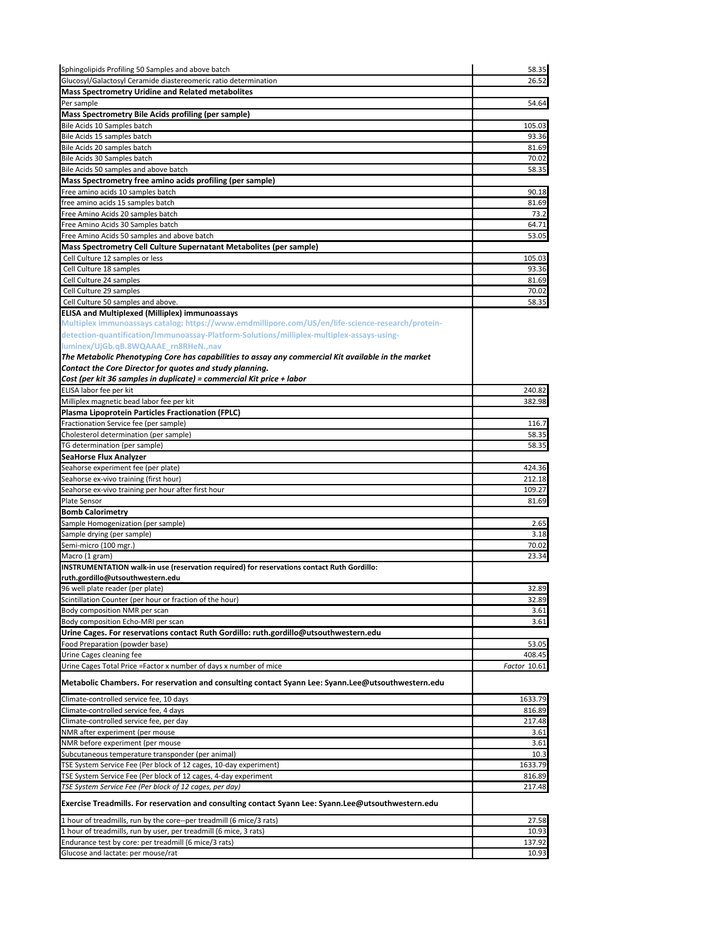| Glucosyl/Galactosyl Ceramide diastereomeric ratio determination<br>26.52<br><b>Mass Spectrometry Uridine and Related metabolites</b><br>Per sample<br><b>Mass Spectrometry Bile Acids profiling (per sample)</b><br>Bile Acids 10 Samples batch<br>105.03<br>Bile Acids 15 samples batch<br>93.36<br>Bile Acids 20 samples batch<br>81.69<br>Bile Acids 30 Samples batch<br>70.02<br>Bile Acids 50 samples and above batch<br>58.35<br>Mass Spectrometry free amino acids profiling (per sample)<br>Free amino acids 10 samples batch<br>90.18<br>free amino acids 15 samples batch<br>81.69<br>Free Amino Acids 20 samples batch<br>73.2<br>Free Amino Acids 30 Samples batch<br>64.71<br>Free Amino Acids 50 samples and above batch<br>53.05<br>Mass Spectrometry Cell Culture Supernatant Metabolites (per sample)<br>Cell Culture 12 samples or less<br>105.03<br>Cell Culture 18 samples<br>93.36<br>Cell Culture 24 samples<br>81.69<br>Cell Culture 29 samples<br>70.02<br>Cell Culture 50 samples and above.<br>58.35<br><b>ELISA and Multiplexed (Milliplex) immunoassays</b><br>Multiplex immunoassays catalog: https://www.emdmillipore.com/US/en/life-science-research/protein-<br>detection-quantification/Immunoassay-Platform-Solutions/milliplex-multiplex-assays-using-<br>luminex/UjGb.qB.8WQAAAE rn8RHeN.,nav<br>The Metabolic Phenotyping Core has capabilities to assay any commercial Kit available in the market<br>Contact the Core Director for quotes and study planning.<br>Cost (per kit 36 samples in duplicate) = commercial Kit price + labor<br>ELISA labor fee per kit<br>240.82<br>Milliplex magnetic bead labor fee per kit<br>382.98<br>Plasma Lipoprotein Particles Fractionation (FPLC)<br>Fractionation Service fee (per sample)<br>116.7<br>Cholesterol determination (per sample)<br>58.35<br>TG determination (per sample)<br>58.35<br><b>SeaHorse Flux Analyzer</b><br>Seahorse experiment fee (per plate)<br>424.36<br>Seahorse ex-vivo training (first hour)<br>212.18<br>Seahorse ex-vivo training per hour after first hour<br>109.27<br><b>Plate Sensor</b><br>81.69<br><b>Bomb Calorimetry</b><br>Sample Homogenization (per sample)<br>2.65<br>Sample drying (per sample)<br>3.18<br>Semi-micro (100 mgr.)<br>70.02<br>Macro (1 gram)<br>23.34<br>INSTRUMENTATION walk-in use (reservation required) for reservations contact Ruth Gordillo:<br>ruth.gordillo@utsouthwestern.edu<br>96 well plate reader (per plate)<br>32.89<br>Scintillation Counter (per hour or fraction of the hour)<br>32.89<br>Body composition NMR per scan<br>3.61<br>Body composition Echo-MRI per scan<br>3.61<br>Urine Cages. For reservations contact Ruth Gordillo: ruth.gordillo@utsouthwestern.edu<br>Food Preparation (powder base)<br>53.05<br>Urine Cages cleaning fee<br>408.45<br>Urine Cages Total Price = Factor x number of days x number of mice<br>Factor 10.61<br>Metabolic Chambers. For reservation and consulting contact Syann Lee: Syann. Lee@utsouthwestern.edu<br>Climate-controlled service fee, 10 days<br>1633.79<br>Climate-controlled service fee, 4 days<br>816.89<br>Climate-controlled service fee, per day<br>217.48<br>NMR after experiment (per mouse<br>3.61<br>NMR before experiment (per mouse<br>3.61<br>Subcutaneous temperature transponder (per animal)<br>10.3<br>TSE System Service Fee (Per block of 12 cages, 10-day experiment)<br>1633.79<br>TSE System Service Fee (Per block of 12 cages, 4-day experiment<br>816.89<br>TSE System Service Fee (Per block of 12 cages, per day)<br>217.48<br>Exercise Treadmills. For reservation and consulting contact Syann Lee: Syann. Lee@utsouthwestern.edu<br>1 hour of treadmills, run by the core--per treadmill (6 mice/3 rats)<br>27.58<br>1 hour of treadmills, run by user, per treadmill (6 mice, 3 rats)<br>10.93<br>Endurance test by core: per treadmill (6 mice/3 rats)<br>137.92<br>Glucose and lactate: per mouse/rat<br>10.93 | Sphingolipids Profiling 50 Samples and above batch | 58.35 |
|-------------------------------------------------------------------------------------------------------------------------------------------------------------------------------------------------------------------------------------------------------------------------------------------------------------------------------------------------------------------------------------------------------------------------------------------------------------------------------------------------------------------------------------------------------------------------------------------------------------------------------------------------------------------------------------------------------------------------------------------------------------------------------------------------------------------------------------------------------------------------------------------------------------------------------------------------------------------------------------------------------------------------------------------------------------------------------------------------------------------------------------------------------------------------------------------------------------------------------------------------------------------------------------------------------------------------------------------------------------------------------------------------------------------------------------------------------------------------------------------------------------------------------------------------------------------------------------------------------------------------------------------------------------------------------------------------------------------------------------------------------------------------------------------------------------------------------------------------------------------------------------------------------------------------------------------------------------------------------------------------------------------------------------------------------------------------------------------------------------------------------------------------------------------------------------------------------------------------------------------------------------------------------------------------------------------------------------------------------------------------------------------------------------------------------------------------------------------------------------------------------------------------------------------------------------------------------------------------------------------------------------------------------------------------------------------------------------------------------------------------------------------------------------------------------------------------------------------------------------------------------------------------------------------------------------------------------------------------------------------------------------------------------------------------------------------------------------------------------------------------------------------------------------------------------------------------------------------------------------------------------------------------------------------------------------------------------------------------------------------------------------------------------------------------------------------------------------------------------------------------------------------------------------------------------------------------------------------------------------------------------------------------------------------------------------------------------------------------------------------------------------------------------------------------------------------------------------------------------------------------------------------------------------------------------------------------------------------|----------------------------------------------------|-------|
|                                                                                                                                                                                                                                                                                                                                                                                                                                                                                                                                                                                                                                                                                                                                                                                                                                                                                                                                                                                                                                                                                                                                                                                                                                                                                                                                                                                                                                                                                                                                                                                                                                                                                                                                                                                                                                                                                                                                                                                                                                                                                                                                                                                                                                                                                                                                                                                                                                                                                                                                                                                                                                                                                                                                                                                                                                                                                                                                                                                                                                                                                                                                                                                                                                                                                                                                                                                                                                                                                                                                                                                                                                                                                                                                                                                                                                                                                                                                                                   |                                                    |       |
|                                                                                                                                                                                                                                                                                                                                                                                                                                                                                                                                                                                                                                                                                                                                                                                                                                                                                                                                                                                                                                                                                                                                                                                                                                                                                                                                                                                                                                                                                                                                                                                                                                                                                                                                                                                                                                                                                                                                                                                                                                                                                                                                                                                                                                                                                                                                                                                                                                                                                                                                                                                                                                                                                                                                                                                                                                                                                                                                                                                                                                                                                                                                                                                                                                                                                                                                                                                                                                                                                                                                                                                                                                                                                                                                                                                                                                                                                                                                                                   |                                                    |       |
|                                                                                                                                                                                                                                                                                                                                                                                                                                                                                                                                                                                                                                                                                                                                                                                                                                                                                                                                                                                                                                                                                                                                                                                                                                                                                                                                                                                                                                                                                                                                                                                                                                                                                                                                                                                                                                                                                                                                                                                                                                                                                                                                                                                                                                                                                                                                                                                                                                                                                                                                                                                                                                                                                                                                                                                                                                                                                                                                                                                                                                                                                                                                                                                                                                                                                                                                                                                                                                                                                                                                                                                                                                                                                                                                                                                                                                                                                                                                                                   |                                                    | 54.64 |
|                                                                                                                                                                                                                                                                                                                                                                                                                                                                                                                                                                                                                                                                                                                                                                                                                                                                                                                                                                                                                                                                                                                                                                                                                                                                                                                                                                                                                                                                                                                                                                                                                                                                                                                                                                                                                                                                                                                                                                                                                                                                                                                                                                                                                                                                                                                                                                                                                                                                                                                                                                                                                                                                                                                                                                                                                                                                                                                                                                                                                                                                                                                                                                                                                                                                                                                                                                                                                                                                                                                                                                                                                                                                                                                                                                                                                                                                                                                                                                   |                                                    |       |
|                                                                                                                                                                                                                                                                                                                                                                                                                                                                                                                                                                                                                                                                                                                                                                                                                                                                                                                                                                                                                                                                                                                                                                                                                                                                                                                                                                                                                                                                                                                                                                                                                                                                                                                                                                                                                                                                                                                                                                                                                                                                                                                                                                                                                                                                                                                                                                                                                                                                                                                                                                                                                                                                                                                                                                                                                                                                                                                                                                                                                                                                                                                                                                                                                                                                                                                                                                                                                                                                                                                                                                                                                                                                                                                                                                                                                                                                                                                                                                   |                                                    |       |
|                                                                                                                                                                                                                                                                                                                                                                                                                                                                                                                                                                                                                                                                                                                                                                                                                                                                                                                                                                                                                                                                                                                                                                                                                                                                                                                                                                                                                                                                                                                                                                                                                                                                                                                                                                                                                                                                                                                                                                                                                                                                                                                                                                                                                                                                                                                                                                                                                                                                                                                                                                                                                                                                                                                                                                                                                                                                                                                                                                                                                                                                                                                                                                                                                                                                                                                                                                                                                                                                                                                                                                                                                                                                                                                                                                                                                                                                                                                                                                   |                                                    |       |
|                                                                                                                                                                                                                                                                                                                                                                                                                                                                                                                                                                                                                                                                                                                                                                                                                                                                                                                                                                                                                                                                                                                                                                                                                                                                                                                                                                                                                                                                                                                                                                                                                                                                                                                                                                                                                                                                                                                                                                                                                                                                                                                                                                                                                                                                                                                                                                                                                                                                                                                                                                                                                                                                                                                                                                                                                                                                                                                                                                                                                                                                                                                                                                                                                                                                                                                                                                                                                                                                                                                                                                                                                                                                                                                                                                                                                                                                                                                                                                   |                                                    |       |
|                                                                                                                                                                                                                                                                                                                                                                                                                                                                                                                                                                                                                                                                                                                                                                                                                                                                                                                                                                                                                                                                                                                                                                                                                                                                                                                                                                                                                                                                                                                                                                                                                                                                                                                                                                                                                                                                                                                                                                                                                                                                                                                                                                                                                                                                                                                                                                                                                                                                                                                                                                                                                                                                                                                                                                                                                                                                                                                                                                                                                                                                                                                                                                                                                                                                                                                                                                                                                                                                                                                                                                                                                                                                                                                                                                                                                                                                                                                                                                   |                                                    |       |
|                                                                                                                                                                                                                                                                                                                                                                                                                                                                                                                                                                                                                                                                                                                                                                                                                                                                                                                                                                                                                                                                                                                                                                                                                                                                                                                                                                                                                                                                                                                                                                                                                                                                                                                                                                                                                                                                                                                                                                                                                                                                                                                                                                                                                                                                                                                                                                                                                                                                                                                                                                                                                                                                                                                                                                                                                                                                                                                                                                                                                                                                                                                                                                                                                                                                                                                                                                                                                                                                                                                                                                                                                                                                                                                                                                                                                                                                                                                                                                   |                                                    |       |
|                                                                                                                                                                                                                                                                                                                                                                                                                                                                                                                                                                                                                                                                                                                                                                                                                                                                                                                                                                                                                                                                                                                                                                                                                                                                                                                                                                                                                                                                                                                                                                                                                                                                                                                                                                                                                                                                                                                                                                                                                                                                                                                                                                                                                                                                                                                                                                                                                                                                                                                                                                                                                                                                                                                                                                                                                                                                                                                                                                                                                                                                                                                                                                                                                                                                                                                                                                                                                                                                                                                                                                                                                                                                                                                                                                                                                                                                                                                                                                   |                                                    |       |
|                                                                                                                                                                                                                                                                                                                                                                                                                                                                                                                                                                                                                                                                                                                                                                                                                                                                                                                                                                                                                                                                                                                                                                                                                                                                                                                                                                                                                                                                                                                                                                                                                                                                                                                                                                                                                                                                                                                                                                                                                                                                                                                                                                                                                                                                                                                                                                                                                                                                                                                                                                                                                                                                                                                                                                                                                                                                                                                                                                                                                                                                                                                                                                                                                                                                                                                                                                                                                                                                                                                                                                                                                                                                                                                                                                                                                                                                                                                                                                   |                                                    |       |
|                                                                                                                                                                                                                                                                                                                                                                                                                                                                                                                                                                                                                                                                                                                                                                                                                                                                                                                                                                                                                                                                                                                                                                                                                                                                                                                                                                                                                                                                                                                                                                                                                                                                                                                                                                                                                                                                                                                                                                                                                                                                                                                                                                                                                                                                                                                                                                                                                                                                                                                                                                                                                                                                                                                                                                                                                                                                                                                                                                                                                                                                                                                                                                                                                                                                                                                                                                                                                                                                                                                                                                                                                                                                                                                                                                                                                                                                                                                                                                   |                                                    |       |
|                                                                                                                                                                                                                                                                                                                                                                                                                                                                                                                                                                                                                                                                                                                                                                                                                                                                                                                                                                                                                                                                                                                                                                                                                                                                                                                                                                                                                                                                                                                                                                                                                                                                                                                                                                                                                                                                                                                                                                                                                                                                                                                                                                                                                                                                                                                                                                                                                                                                                                                                                                                                                                                                                                                                                                                                                                                                                                                                                                                                                                                                                                                                                                                                                                                                                                                                                                                                                                                                                                                                                                                                                                                                                                                                                                                                                                                                                                                                                                   |                                                    |       |
|                                                                                                                                                                                                                                                                                                                                                                                                                                                                                                                                                                                                                                                                                                                                                                                                                                                                                                                                                                                                                                                                                                                                                                                                                                                                                                                                                                                                                                                                                                                                                                                                                                                                                                                                                                                                                                                                                                                                                                                                                                                                                                                                                                                                                                                                                                                                                                                                                                                                                                                                                                                                                                                                                                                                                                                                                                                                                                                                                                                                                                                                                                                                                                                                                                                                                                                                                                                                                                                                                                                                                                                                                                                                                                                                                                                                                                                                                                                                                                   |                                                    |       |
|                                                                                                                                                                                                                                                                                                                                                                                                                                                                                                                                                                                                                                                                                                                                                                                                                                                                                                                                                                                                                                                                                                                                                                                                                                                                                                                                                                                                                                                                                                                                                                                                                                                                                                                                                                                                                                                                                                                                                                                                                                                                                                                                                                                                                                                                                                                                                                                                                                                                                                                                                                                                                                                                                                                                                                                                                                                                                                                                                                                                                                                                                                                                                                                                                                                                                                                                                                                                                                                                                                                                                                                                                                                                                                                                                                                                                                                                                                                                                                   |                                                    |       |
|                                                                                                                                                                                                                                                                                                                                                                                                                                                                                                                                                                                                                                                                                                                                                                                                                                                                                                                                                                                                                                                                                                                                                                                                                                                                                                                                                                                                                                                                                                                                                                                                                                                                                                                                                                                                                                                                                                                                                                                                                                                                                                                                                                                                                                                                                                                                                                                                                                                                                                                                                                                                                                                                                                                                                                                                                                                                                                                                                                                                                                                                                                                                                                                                                                                                                                                                                                                                                                                                                                                                                                                                                                                                                                                                                                                                                                                                                                                                                                   |                                                    |       |
|                                                                                                                                                                                                                                                                                                                                                                                                                                                                                                                                                                                                                                                                                                                                                                                                                                                                                                                                                                                                                                                                                                                                                                                                                                                                                                                                                                                                                                                                                                                                                                                                                                                                                                                                                                                                                                                                                                                                                                                                                                                                                                                                                                                                                                                                                                                                                                                                                                                                                                                                                                                                                                                                                                                                                                                                                                                                                                                                                                                                                                                                                                                                                                                                                                                                                                                                                                                                                                                                                                                                                                                                                                                                                                                                                                                                                                                                                                                                                                   |                                                    |       |
|                                                                                                                                                                                                                                                                                                                                                                                                                                                                                                                                                                                                                                                                                                                                                                                                                                                                                                                                                                                                                                                                                                                                                                                                                                                                                                                                                                                                                                                                                                                                                                                                                                                                                                                                                                                                                                                                                                                                                                                                                                                                                                                                                                                                                                                                                                                                                                                                                                                                                                                                                                                                                                                                                                                                                                                                                                                                                                                                                                                                                                                                                                                                                                                                                                                                                                                                                                                                                                                                                                                                                                                                                                                                                                                                                                                                                                                                                                                                                                   |                                                    |       |
|                                                                                                                                                                                                                                                                                                                                                                                                                                                                                                                                                                                                                                                                                                                                                                                                                                                                                                                                                                                                                                                                                                                                                                                                                                                                                                                                                                                                                                                                                                                                                                                                                                                                                                                                                                                                                                                                                                                                                                                                                                                                                                                                                                                                                                                                                                                                                                                                                                                                                                                                                                                                                                                                                                                                                                                                                                                                                                                                                                                                                                                                                                                                                                                                                                                                                                                                                                                                                                                                                                                                                                                                                                                                                                                                                                                                                                                                                                                                                                   |                                                    |       |
|                                                                                                                                                                                                                                                                                                                                                                                                                                                                                                                                                                                                                                                                                                                                                                                                                                                                                                                                                                                                                                                                                                                                                                                                                                                                                                                                                                                                                                                                                                                                                                                                                                                                                                                                                                                                                                                                                                                                                                                                                                                                                                                                                                                                                                                                                                                                                                                                                                                                                                                                                                                                                                                                                                                                                                                                                                                                                                                                                                                                                                                                                                                                                                                                                                                                                                                                                                                                                                                                                                                                                                                                                                                                                                                                                                                                                                                                                                                                                                   |                                                    |       |
|                                                                                                                                                                                                                                                                                                                                                                                                                                                                                                                                                                                                                                                                                                                                                                                                                                                                                                                                                                                                                                                                                                                                                                                                                                                                                                                                                                                                                                                                                                                                                                                                                                                                                                                                                                                                                                                                                                                                                                                                                                                                                                                                                                                                                                                                                                                                                                                                                                                                                                                                                                                                                                                                                                                                                                                                                                                                                                                                                                                                                                                                                                                                                                                                                                                                                                                                                                                                                                                                                                                                                                                                                                                                                                                                                                                                                                                                                                                                                                   |                                                    |       |
|                                                                                                                                                                                                                                                                                                                                                                                                                                                                                                                                                                                                                                                                                                                                                                                                                                                                                                                                                                                                                                                                                                                                                                                                                                                                                                                                                                                                                                                                                                                                                                                                                                                                                                                                                                                                                                                                                                                                                                                                                                                                                                                                                                                                                                                                                                                                                                                                                                                                                                                                                                                                                                                                                                                                                                                                                                                                                                                                                                                                                                                                                                                                                                                                                                                                                                                                                                                                                                                                                                                                                                                                                                                                                                                                                                                                                                                                                                                                                                   |                                                    |       |
|                                                                                                                                                                                                                                                                                                                                                                                                                                                                                                                                                                                                                                                                                                                                                                                                                                                                                                                                                                                                                                                                                                                                                                                                                                                                                                                                                                                                                                                                                                                                                                                                                                                                                                                                                                                                                                                                                                                                                                                                                                                                                                                                                                                                                                                                                                                                                                                                                                                                                                                                                                                                                                                                                                                                                                                                                                                                                                                                                                                                                                                                                                                                                                                                                                                                                                                                                                                                                                                                                                                                                                                                                                                                                                                                                                                                                                                                                                                                                                   |                                                    |       |
|                                                                                                                                                                                                                                                                                                                                                                                                                                                                                                                                                                                                                                                                                                                                                                                                                                                                                                                                                                                                                                                                                                                                                                                                                                                                                                                                                                                                                                                                                                                                                                                                                                                                                                                                                                                                                                                                                                                                                                                                                                                                                                                                                                                                                                                                                                                                                                                                                                                                                                                                                                                                                                                                                                                                                                                                                                                                                                                                                                                                                                                                                                                                                                                                                                                                                                                                                                                                                                                                                                                                                                                                                                                                                                                                                                                                                                                                                                                                                                   |                                                    |       |
|                                                                                                                                                                                                                                                                                                                                                                                                                                                                                                                                                                                                                                                                                                                                                                                                                                                                                                                                                                                                                                                                                                                                                                                                                                                                                                                                                                                                                                                                                                                                                                                                                                                                                                                                                                                                                                                                                                                                                                                                                                                                                                                                                                                                                                                                                                                                                                                                                                                                                                                                                                                                                                                                                                                                                                                                                                                                                                                                                                                                                                                                                                                                                                                                                                                                                                                                                                                                                                                                                                                                                                                                                                                                                                                                                                                                                                                                                                                                                                   |                                                    |       |
|                                                                                                                                                                                                                                                                                                                                                                                                                                                                                                                                                                                                                                                                                                                                                                                                                                                                                                                                                                                                                                                                                                                                                                                                                                                                                                                                                                                                                                                                                                                                                                                                                                                                                                                                                                                                                                                                                                                                                                                                                                                                                                                                                                                                                                                                                                                                                                                                                                                                                                                                                                                                                                                                                                                                                                                                                                                                                                                                                                                                                                                                                                                                                                                                                                                                                                                                                                                                                                                                                                                                                                                                                                                                                                                                                                                                                                                                                                                                                                   |                                                    |       |
|                                                                                                                                                                                                                                                                                                                                                                                                                                                                                                                                                                                                                                                                                                                                                                                                                                                                                                                                                                                                                                                                                                                                                                                                                                                                                                                                                                                                                                                                                                                                                                                                                                                                                                                                                                                                                                                                                                                                                                                                                                                                                                                                                                                                                                                                                                                                                                                                                                                                                                                                                                                                                                                                                                                                                                                                                                                                                                                                                                                                                                                                                                                                                                                                                                                                                                                                                                                                                                                                                                                                                                                                                                                                                                                                                                                                                                                                                                                                                                   |                                                    |       |
|                                                                                                                                                                                                                                                                                                                                                                                                                                                                                                                                                                                                                                                                                                                                                                                                                                                                                                                                                                                                                                                                                                                                                                                                                                                                                                                                                                                                                                                                                                                                                                                                                                                                                                                                                                                                                                                                                                                                                                                                                                                                                                                                                                                                                                                                                                                                                                                                                                                                                                                                                                                                                                                                                                                                                                                                                                                                                                                                                                                                                                                                                                                                                                                                                                                                                                                                                                                                                                                                                                                                                                                                                                                                                                                                                                                                                                                                                                                                                                   |                                                    |       |
|                                                                                                                                                                                                                                                                                                                                                                                                                                                                                                                                                                                                                                                                                                                                                                                                                                                                                                                                                                                                                                                                                                                                                                                                                                                                                                                                                                                                                                                                                                                                                                                                                                                                                                                                                                                                                                                                                                                                                                                                                                                                                                                                                                                                                                                                                                                                                                                                                                                                                                                                                                                                                                                                                                                                                                                                                                                                                                                                                                                                                                                                                                                                                                                                                                                                                                                                                                                                                                                                                                                                                                                                                                                                                                                                                                                                                                                                                                                                                                   |                                                    |       |
|                                                                                                                                                                                                                                                                                                                                                                                                                                                                                                                                                                                                                                                                                                                                                                                                                                                                                                                                                                                                                                                                                                                                                                                                                                                                                                                                                                                                                                                                                                                                                                                                                                                                                                                                                                                                                                                                                                                                                                                                                                                                                                                                                                                                                                                                                                                                                                                                                                                                                                                                                                                                                                                                                                                                                                                                                                                                                                                                                                                                                                                                                                                                                                                                                                                                                                                                                                                                                                                                                                                                                                                                                                                                                                                                                                                                                                                                                                                                                                   |                                                    |       |
|                                                                                                                                                                                                                                                                                                                                                                                                                                                                                                                                                                                                                                                                                                                                                                                                                                                                                                                                                                                                                                                                                                                                                                                                                                                                                                                                                                                                                                                                                                                                                                                                                                                                                                                                                                                                                                                                                                                                                                                                                                                                                                                                                                                                                                                                                                                                                                                                                                                                                                                                                                                                                                                                                                                                                                                                                                                                                                                                                                                                                                                                                                                                                                                                                                                                                                                                                                                                                                                                                                                                                                                                                                                                                                                                                                                                                                                                                                                                                                   |                                                    |       |
|                                                                                                                                                                                                                                                                                                                                                                                                                                                                                                                                                                                                                                                                                                                                                                                                                                                                                                                                                                                                                                                                                                                                                                                                                                                                                                                                                                                                                                                                                                                                                                                                                                                                                                                                                                                                                                                                                                                                                                                                                                                                                                                                                                                                                                                                                                                                                                                                                                                                                                                                                                                                                                                                                                                                                                                                                                                                                                                                                                                                                                                                                                                                                                                                                                                                                                                                                                                                                                                                                                                                                                                                                                                                                                                                                                                                                                                                                                                                                                   |                                                    |       |
|                                                                                                                                                                                                                                                                                                                                                                                                                                                                                                                                                                                                                                                                                                                                                                                                                                                                                                                                                                                                                                                                                                                                                                                                                                                                                                                                                                                                                                                                                                                                                                                                                                                                                                                                                                                                                                                                                                                                                                                                                                                                                                                                                                                                                                                                                                                                                                                                                                                                                                                                                                                                                                                                                                                                                                                                                                                                                                                                                                                                                                                                                                                                                                                                                                                                                                                                                                                                                                                                                                                                                                                                                                                                                                                                                                                                                                                                                                                                                                   |                                                    |       |
|                                                                                                                                                                                                                                                                                                                                                                                                                                                                                                                                                                                                                                                                                                                                                                                                                                                                                                                                                                                                                                                                                                                                                                                                                                                                                                                                                                                                                                                                                                                                                                                                                                                                                                                                                                                                                                                                                                                                                                                                                                                                                                                                                                                                                                                                                                                                                                                                                                                                                                                                                                                                                                                                                                                                                                                                                                                                                                                                                                                                                                                                                                                                                                                                                                                                                                                                                                                                                                                                                                                                                                                                                                                                                                                                                                                                                                                                                                                                                                   |                                                    |       |
|                                                                                                                                                                                                                                                                                                                                                                                                                                                                                                                                                                                                                                                                                                                                                                                                                                                                                                                                                                                                                                                                                                                                                                                                                                                                                                                                                                                                                                                                                                                                                                                                                                                                                                                                                                                                                                                                                                                                                                                                                                                                                                                                                                                                                                                                                                                                                                                                                                                                                                                                                                                                                                                                                                                                                                                                                                                                                                                                                                                                                                                                                                                                                                                                                                                                                                                                                                                                                                                                                                                                                                                                                                                                                                                                                                                                                                                                                                                                                                   |                                                    |       |
|                                                                                                                                                                                                                                                                                                                                                                                                                                                                                                                                                                                                                                                                                                                                                                                                                                                                                                                                                                                                                                                                                                                                                                                                                                                                                                                                                                                                                                                                                                                                                                                                                                                                                                                                                                                                                                                                                                                                                                                                                                                                                                                                                                                                                                                                                                                                                                                                                                                                                                                                                                                                                                                                                                                                                                                                                                                                                                                                                                                                                                                                                                                                                                                                                                                                                                                                                                                                                                                                                                                                                                                                                                                                                                                                                                                                                                                                                                                                                                   |                                                    |       |
|                                                                                                                                                                                                                                                                                                                                                                                                                                                                                                                                                                                                                                                                                                                                                                                                                                                                                                                                                                                                                                                                                                                                                                                                                                                                                                                                                                                                                                                                                                                                                                                                                                                                                                                                                                                                                                                                                                                                                                                                                                                                                                                                                                                                                                                                                                                                                                                                                                                                                                                                                                                                                                                                                                                                                                                                                                                                                                                                                                                                                                                                                                                                                                                                                                                                                                                                                                                                                                                                                                                                                                                                                                                                                                                                                                                                                                                                                                                                                                   |                                                    |       |
|                                                                                                                                                                                                                                                                                                                                                                                                                                                                                                                                                                                                                                                                                                                                                                                                                                                                                                                                                                                                                                                                                                                                                                                                                                                                                                                                                                                                                                                                                                                                                                                                                                                                                                                                                                                                                                                                                                                                                                                                                                                                                                                                                                                                                                                                                                                                                                                                                                                                                                                                                                                                                                                                                                                                                                                                                                                                                                                                                                                                                                                                                                                                                                                                                                                                                                                                                                                                                                                                                                                                                                                                                                                                                                                                                                                                                                                                                                                                                                   |                                                    |       |
|                                                                                                                                                                                                                                                                                                                                                                                                                                                                                                                                                                                                                                                                                                                                                                                                                                                                                                                                                                                                                                                                                                                                                                                                                                                                                                                                                                                                                                                                                                                                                                                                                                                                                                                                                                                                                                                                                                                                                                                                                                                                                                                                                                                                                                                                                                                                                                                                                                                                                                                                                                                                                                                                                                                                                                                                                                                                                                                                                                                                                                                                                                                                                                                                                                                                                                                                                                                                                                                                                                                                                                                                                                                                                                                                                                                                                                                                                                                                                                   |                                                    |       |
|                                                                                                                                                                                                                                                                                                                                                                                                                                                                                                                                                                                                                                                                                                                                                                                                                                                                                                                                                                                                                                                                                                                                                                                                                                                                                                                                                                                                                                                                                                                                                                                                                                                                                                                                                                                                                                                                                                                                                                                                                                                                                                                                                                                                                                                                                                                                                                                                                                                                                                                                                                                                                                                                                                                                                                                                                                                                                                                                                                                                                                                                                                                                                                                                                                                                                                                                                                                                                                                                                                                                                                                                                                                                                                                                                                                                                                                                                                                                                                   |                                                    |       |
|                                                                                                                                                                                                                                                                                                                                                                                                                                                                                                                                                                                                                                                                                                                                                                                                                                                                                                                                                                                                                                                                                                                                                                                                                                                                                                                                                                                                                                                                                                                                                                                                                                                                                                                                                                                                                                                                                                                                                                                                                                                                                                                                                                                                                                                                                                                                                                                                                                                                                                                                                                                                                                                                                                                                                                                                                                                                                                                                                                                                                                                                                                                                                                                                                                                                                                                                                                                                                                                                                                                                                                                                                                                                                                                                                                                                                                                                                                                                                                   |                                                    |       |
|                                                                                                                                                                                                                                                                                                                                                                                                                                                                                                                                                                                                                                                                                                                                                                                                                                                                                                                                                                                                                                                                                                                                                                                                                                                                                                                                                                                                                                                                                                                                                                                                                                                                                                                                                                                                                                                                                                                                                                                                                                                                                                                                                                                                                                                                                                                                                                                                                                                                                                                                                                                                                                                                                                                                                                                                                                                                                                                                                                                                                                                                                                                                                                                                                                                                                                                                                                                                                                                                                                                                                                                                                                                                                                                                                                                                                                                                                                                                                                   |                                                    |       |
|                                                                                                                                                                                                                                                                                                                                                                                                                                                                                                                                                                                                                                                                                                                                                                                                                                                                                                                                                                                                                                                                                                                                                                                                                                                                                                                                                                                                                                                                                                                                                                                                                                                                                                                                                                                                                                                                                                                                                                                                                                                                                                                                                                                                                                                                                                                                                                                                                                                                                                                                                                                                                                                                                                                                                                                                                                                                                                                                                                                                                                                                                                                                                                                                                                                                                                                                                                                                                                                                                                                                                                                                                                                                                                                                                                                                                                                                                                                                                                   |                                                    |       |
|                                                                                                                                                                                                                                                                                                                                                                                                                                                                                                                                                                                                                                                                                                                                                                                                                                                                                                                                                                                                                                                                                                                                                                                                                                                                                                                                                                                                                                                                                                                                                                                                                                                                                                                                                                                                                                                                                                                                                                                                                                                                                                                                                                                                                                                                                                                                                                                                                                                                                                                                                                                                                                                                                                                                                                                                                                                                                                                                                                                                                                                                                                                                                                                                                                                                                                                                                                                                                                                                                                                                                                                                                                                                                                                                                                                                                                                                                                                                                                   |                                                    |       |
|                                                                                                                                                                                                                                                                                                                                                                                                                                                                                                                                                                                                                                                                                                                                                                                                                                                                                                                                                                                                                                                                                                                                                                                                                                                                                                                                                                                                                                                                                                                                                                                                                                                                                                                                                                                                                                                                                                                                                                                                                                                                                                                                                                                                                                                                                                                                                                                                                                                                                                                                                                                                                                                                                                                                                                                                                                                                                                                                                                                                                                                                                                                                                                                                                                                                                                                                                                                                                                                                                                                                                                                                                                                                                                                                                                                                                                                                                                                                                                   |                                                    |       |
|                                                                                                                                                                                                                                                                                                                                                                                                                                                                                                                                                                                                                                                                                                                                                                                                                                                                                                                                                                                                                                                                                                                                                                                                                                                                                                                                                                                                                                                                                                                                                                                                                                                                                                                                                                                                                                                                                                                                                                                                                                                                                                                                                                                                                                                                                                                                                                                                                                                                                                                                                                                                                                                                                                                                                                                                                                                                                                                                                                                                                                                                                                                                                                                                                                                                                                                                                                                                                                                                                                                                                                                                                                                                                                                                                                                                                                                                                                                                                                   |                                                    |       |
|                                                                                                                                                                                                                                                                                                                                                                                                                                                                                                                                                                                                                                                                                                                                                                                                                                                                                                                                                                                                                                                                                                                                                                                                                                                                                                                                                                                                                                                                                                                                                                                                                                                                                                                                                                                                                                                                                                                                                                                                                                                                                                                                                                                                                                                                                                                                                                                                                                                                                                                                                                                                                                                                                                                                                                                                                                                                                                                                                                                                                                                                                                                                                                                                                                                                                                                                                                                                                                                                                                                                                                                                                                                                                                                                                                                                                                                                                                                                                                   |                                                    |       |
|                                                                                                                                                                                                                                                                                                                                                                                                                                                                                                                                                                                                                                                                                                                                                                                                                                                                                                                                                                                                                                                                                                                                                                                                                                                                                                                                                                                                                                                                                                                                                                                                                                                                                                                                                                                                                                                                                                                                                                                                                                                                                                                                                                                                                                                                                                                                                                                                                                                                                                                                                                                                                                                                                                                                                                                                                                                                                                                                                                                                                                                                                                                                                                                                                                                                                                                                                                                                                                                                                                                                                                                                                                                                                                                                                                                                                                                                                                                                                                   |                                                    |       |
|                                                                                                                                                                                                                                                                                                                                                                                                                                                                                                                                                                                                                                                                                                                                                                                                                                                                                                                                                                                                                                                                                                                                                                                                                                                                                                                                                                                                                                                                                                                                                                                                                                                                                                                                                                                                                                                                                                                                                                                                                                                                                                                                                                                                                                                                                                                                                                                                                                                                                                                                                                                                                                                                                                                                                                                                                                                                                                                                                                                                                                                                                                                                                                                                                                                                                                                                                                                                                                                                                                                                                                                                                                                                                                                                                                                                                                                                                                                                                                   |                                                    |       |
|                                                                                                                                                                                                                                                                                                                                                                                                                                                                                                                                                                                                                                                                                                                                                                                                                                                                                                                                                                                                                                                                                                                                                                                                                                                                                                                                                                                                                                                                                                                                                                                                                                                                                                                                                                                                                                                                                                                                                                                                                                                                                                                                                                                                                                                                                                                                                                                                                                                                                                                                                                                                                                                                                                                                                                                                                                                                                                                                                                                                                                                                                                                                                                                                                                                                                                                                                                                                                                                                                                                                                                                                                                                                                                                                                                                                                                                                                                                                                                   |                                                    |       |
|                                                                                                                                                                                                                                                                                                                                                                                                                                                                                                                                                                                                                                                                                                                                                                                                                                                                                                                                                                                                                                                                                                                                                                                                                                                                                                                                                                                                                                                                                                                                                                                                                                                                                                                                                                                                                                                                                                                                                                                                                                                                                                                                                                                                                                                                                                                                                                                                                                                                                                                                                                                                                                                                                                                                                                                                                                                                                                                                                                                                                                                                                                                                                                                                                                                                                                                                                                                                                                                                                                                                                                                                                                                                                                                                                                                                                                                                                                                                                                   |                                                    |       |
|                                                                                                                                                                                                                                                                                                                                                                                                                                                                                                                                                                                                                                                                                                                                                                                                                                                                                                                                                                                                                                                                                                                                                                                                                                                                                                                                                                                                                                                                                                                                                                                                                                                                                                                                                                                                                                                                                                                                                                                                                                                                                                                                                                                                                                                                                                                                                                                                                                                                                                                                                                                                                                                                                                                                                                                                                                                                                                                                                                                                                                                                                                                                                                                                                                                                                                                                                                                                                                                                                                                                                                                                                                                                                                                                                                                                                                                                                                                                                                   |                                                    |       |
|                                                                                                                                                                                                                                                                                                                                                                                                                                                                                                                                                                                                                                                                                                                                                                                                                                                                                                                                                                                                                                                                                                                                                                                                                                                                                                                                                                                                                                                                                                                                                                                                                                                                                                                                                                                                                                                                                                                                                                                                                                                                                                                                                                                                                                                                                                                                                                                                                                                                                                                                                                                                                                                                                                                                                                                                                                                                                                                                                                                                                                                                                                                                                                                                                                                                                                                                                                                                                                                                                                                                                                                                                                                                                                                                                                                                                                                                                                                                                                   |                                                    |       |
|                                                                                                                                                                                                                                                                                                                                                                                                                                                                                                                                                                                                                                                                                                                                                                                                                                                                                                                                                                                                                                                                                                                                                                                                                                                                                                                                                                                                                                                                                                                                                                                                                                                                                                                                                                                                                                                                                                                                                                                                                                                                                                                                                                                                                                                                                                                                                                                                                                                                                                                                                                                                                                                                                                                                                                                                                                                                                                                                                                                                                                                                                                                                                                                                                                                                                                                                                                                                                                                                                                                                                                                                                                                                                                                                                                                                                                                                                                                                                                   |                                                    |       |
|                                                                                                                                                                                                                                                                                                                                                                                                                                                                                                                                                                                                                                                                                                                                                                                                                                                                                                                                                                                                                                                                                                                                                                                                                                                                                                                                                                                                                                                                                                                                                                                                                                                                                                                                                                                                                                                                                                                                                                                                                                                                                                                                                                                                                                                                                                                                                                                                                                                                                                                                                                                                                                                                                                                                                                                                                                                                                                                                                                                                                                                                                                                                                                                                                                                                                                                                                                                                                                                                                                                                                                                                                                                                                                                                                                                                                                                                                                                                                                   |                                                    |       |
|                                                                                                                                                                                                                                                                                                                                                                                                                                                                                                                                                                                                                                                                                                                                                                                                                                                                                                                                                                                                                                                                                                                                                                                                                                                                                                                                                                                                                                                                                                                                                                                                                                                                                                                                                                                                                                                                                                                                                                                                                                                                                                                                                                                                                                                                                                                                                                                                                                                                                                                                                                                                                                                                                                                                                                                                                                                                                                                                                                                                                                                                                                                                                                                                                                                                                                                                                                                                                                                                                                                                                                                                                                                                                                                                                                                                                                                                                                                                                                   |                                                    |       |
|                                                                                                                                                                                                                                                                                                                                                                                                                                                                                                                                                                                                                                                                                                                                                                                                                                                                                                                                                                                                                                                                                                                                                                                                                                                                                                                                                                                                                                                                                                                                                                                                                                                                                                                                                                                                                                                                                                                                                                                                                                                                                                                                                                                                                                                                                                                                                                                                                                                                                                                                                                                                                                                                                                                                                                                                                                                                                                                                                                                                                                                                                                                                                                                                                                                                                                                                                                                                                                                                                                                                                                                                                                                                                                                                                                                                                                                                                                                                                                   |                                                    |       |
|                                                                                                                                                                                                                                                                                                                                                                                                                                                                                                                                                                                                                                                                                                                                                                                                                                                                                                                                                                                                                                                                                                                                                                                                                                                                                                                                                                                                                                                                                                                                                                                                                                                                                                                                                                                                                                                                                                                                                                                                                                                                                                                                                                                                                                                                                                                                                                                                                                                                                                                                                                                                                                                                                                                                                                                                                                                                                                                                                                                                                                                                                                                                                                                                                                                                                                                                                                                                                                                                                                                                                                                                                                                                                                                                                                                                                                                                                                                                                                   |                                                    |       |
|                                                                                                                                                                                                                                                                                                                                                                                                                                                                                                                                                                                                                                                                                                                                                                                                                                                                                                                                                                                                                                                                                                                                                                                                                                                                                                                                                                                                                                                                                                                                                                                                                                                                                                                                                                                                                                                                                                                                                                                                                                                                                                                                                                                                                                                                                                                                                                                                                                                                                                                                                                                                                                                                                                                                                                                                                                                                                                                                                                                                                                                                                                                                                                                                                                                                                                                                                                                                                                                                                                                                                                                                                                                                                                                                                                                                                                                                                                                                                                   |                                                    |       |
|                                                                                                                                                                                                                                                                                                                                                                                                                                                                                                                                                                                                                                                                                                                                                                                                                                                                                                                                                                                                                                                                                                                                                                                                                                                                                                                                                                                                                                                                                                                                                                                                                                                                                                                                                                                                                                                                                                                                                                                                                                                                                                                                                                                                                                                                                                                                                                                                                                                                                                                                                                                                                                                                                                                                                                                                                                                                                                                                                                                                                                                                                                                                                                                                                                                                                                                                                                                                                                                                                                                                                                                                                                                                                                                                                                                                                                                                                                                                                                   |                                                    |       |
|                                                                                                                                                                                                                                                                                                                                                                                                                                                                                                                                                                                                                                                                                                                                                                                                                                                                                                                                                                                                                                                                                                                                                                                                                                                                                                                                                                                                                                                                                                                                                                                                                                                                                                                                                                                                                                                                                                                                                                                                                                                                                                                                                                                                                                                                                                                                                                                                                                                                                                                                                                                                                                                                                                                                                                                                                                                                                                                                                                                                                                                                                                                                                                                                                                                                                                                                                                                                                                                                                                                                                                                                                                                                                                                                                                                                                                                                                                                                                                   |                                                    |       |
|                                                                                                                                                                                                                                                                                                                                                                                                                                                                                                                                                                                                                                                                                                                                                                                                                                                                                                                                                                                                                                                                                                                                                                                                                                                                                                                                                                                                                                                                                                                                                                                                                                                                                                                                                                                                                                                                                                                                                                                                                                                                                                                                                                                                                                                                                                                                                                                                                                                                                                                                                                                                                                                                                                                                                                                                                                                                                                                                                                                                                                                                                                                                                                                                                                                                                                                                                                                                                                                                                                                                                                                                                                                                                                                                                                                                                                                                                                                                                                   |                                                    |       |
|                                                                                                                                                                                                                                                                                                                                                                                                                                                                                                                                                                                                                                                                                                                                                                                                                                                                                                                                                                                                                                                                                                                                                                                                                                                                                                                                                                                                                                                                                                                                                                                                                                                                                                                                                                                                                                                                                                                                                                                                                                                                                                                                                                                                                                                                                                                                                                                                                                                                                                                                                                                                                                                                                                                                                                                                                                                                                                                                                                                                                                                                                                                                                                                                                                                                                                                                                                                                                                                                                                                                                                                                                                                                                                                                                                                                                                                                                                                                                                   |                                                    |       |
|                                                                                                                                                                                                                                                                                                                                                                                                                                                                                                                                                                                                                                                                                                                                                                                                                                                                                                                                                                                                                                                                                                                                                                                                                                                                                                                                                                                                                                                                                                                                                                                                                                                                                                                                                                                                                                                                                                                                                                                                                                                                                                                                                                                                                                                                                                                                                                                                                                                                                                                                                                                                                                                                                                                                                                                                                                                                                                                                                                                                                                                                                                                                                                                                                                                                                                                                                                                                                                                                                                                                                                                                                                                                                                                                                                                                                                                                                                                                                                   |                                                    |       |
|                                                                                                                                                                                                                                                                                                                                                                                                                                                                                                                                                                                                                                                                                                                                                                                                                                                                                                                                                                                                                                                                                                                                                                                                                                                                                                                                                                                                                                                                                                                                                                                                                                                                                                                                                                                                                                                                                                                                                                                                                                                                                                                                                                                                                                                                                                                                                                                                                                                                                                                                                                                                                                                                                                                                                                                                                                                                                                                                                                                                                                                                                                                                                                                                                                                                                                                                                                                                                                                                                                                                                                                                                                                                                                                                                                                                                                                                                                                                                                   |                                                    |       |